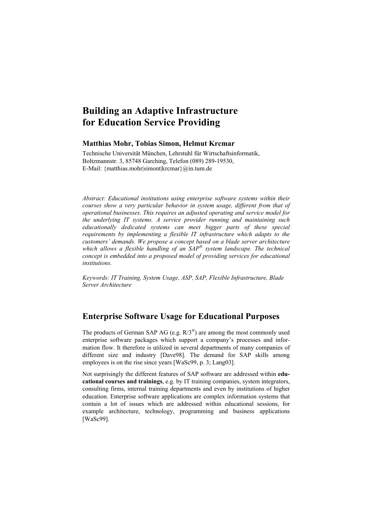# **Building an Adaptive Infrastructure for Education Service Providing**

### **Matthias Mohr, Tobias Simon, Helmut Krcmar**

Technische Universität München, Lehrstuhl für Wirtschaftsinformatik, Boltzmannstr. 3, 85748 Garching, Telefon (089) 289-19530, E-Mail:  ${mathias.mohr|simont|krcmar}$ @in.tum.de

*Abstract: Educational institutions using enterprise software systems within their courses show a very particular behavior in system usage, different from that of operational businesses. This requires an adjusted operating and service model for the underlying IT systems. A service provider running and maintaining such educationally dedicated systems can meet bigger parts of these special requirements by implementing a flexible IT infrastructure which adapts to the customers' demands. We propose a concept based on a blade server architecture*  which allows a flexible handling of an  $SAP^{\otimes}$  system landscape. The technical *concept is embedded into a proposed model of providing services for educational institutions.* 

*Keywords: IT Training, System Usage, ASP, SAP, Flexible Infrastructure, Blade Server Architecture* 

## **Enterprise Software Usage for Educational Purposes**

The products of German SAP AG (e.g.  $R/3^{\circledR}$ ) are among the most commonly used enterprise software packages which support a company's processes and information flow. It therefore is utilized in several departments of many companies of different size and industry [Dave98]. The demand for SAP skills among employees is on the rise since years [WaSc99, p. 3; Lang03].

Not surprisingly the different features of SAP software are addressed within **educational courses and trainings**, e.g. by IT training companies, system integrators, consulting firms, internal training departments and even by institutions of higher education. Enterprise software applications are complex information systems that contain a lot of issues which are addressed within educational sessions, for example architecture, technology, programming and business applications [WaSc99].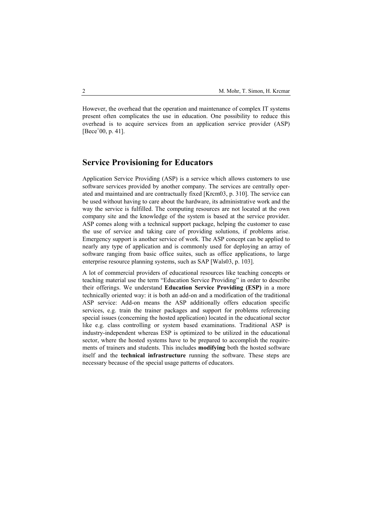However, the overhead that the operation and maintenance of complex IT systems present often complicates the use in education. One possibility to reduce this overhead is to acquire services from an application service provider (ASP)  $[Bece<sup>+</sup>00, p. 41].$ 

## **Service Provisioning for Educators**

Application Service Providing (ASP) is a service which allows customers to use software services provided by another company. The services are centrally operated and maintained and are contractually fixed [Krcm03, p. 310]. The service can be used without having to care about the hardware, its administrative work and the way the service is fulfilled. The computing resources are not located at the own company site and the knowledge of the system is based at the service provider. ASP comes along with a technical support package, helping the customer to ease the use of service and taking care of providing solutions, if problems arise. Emergency support is another service of work. The ASP concept can be applied to nearly any type of application and is commonly used for deploying an array of software ranging from basic office suites, such as office applications, to large enterprise resource planning systems, such as SAP [Wals03, p. 103].

A lot of commercial providers of educational resources like teaching concepts or teaching material use the term "Education Service Providing" in order to describe their offerings. We understand **Education Service Providing (ESP)** in a more technically oriented way: it is both an add-on and a modification of the traditional ASP service: Add-on means the ASP additionally offers education specific services, e.g. train the trainer packages and support for problems referencing special issues (concerning the hosted application) located in the educational sector like e.g. class controlling or system based examinations. Traditional ASP is industry-independent whereas ESP is optimized to be utilized in the educational sector, where the hosted systems have to be prepared to accomplish the requirements of trainers and students. This includes **modifying** both the hosted software itself and the **technical infrastructure** running the software. These steps are necessary because of the special usage patterns of educators.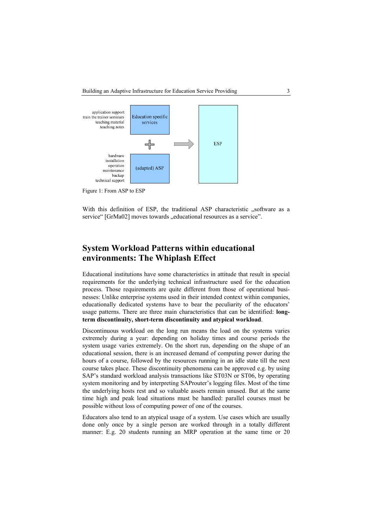

Figure 1: From ASP to ESP

With this definition of ESP, the traditional ASP characteristic "software as a service" [GrMa02] moves towards "educational resources as a service".

# **System Workload Patterns within educational environments: The Whiplash Effect**

Educational institutions have some characteristics in attitude that result in special requirements for the underlying technical infrastructure used for the education process. Those requirements are quite different from those of operational businesses: Unlike enterprise systems used in their intended context within companies, educationally dedicated systems have to bear the peculiarity of the educators' usage patterns. There are three main characteristics that can be identified: **longterm discontinuity, short-term discontinuity and atypical workload**.

Discontinuous workload on the long run means the load on the systems varies extremely during a year: depending on holiday times and course periods the system usage varies extremely. On the short run, depending on the shape of an educational session, there is an increased demand of computing power during the hours of a course, followed by the resources running in an idle state till the next course takes place. These discontinuity phenomena can be approved e.g. by using SAP's standard workload analysis transactions like ST03N or ST06, by operating system monitoring and by interpreting SAProuter's logging files. Most of the time the underlying hosts rest and so valuable assets remain unused. But at the same time high and peak load situations must be handled: parallel courses must be possible without loss of computing power of one of the courses.

Educators also tend to an atypical usage of a system. Use cases which are usually done only once by a single person are worked through in a totally different manner: E.g. 20 students running an MRP operation at the same time or 20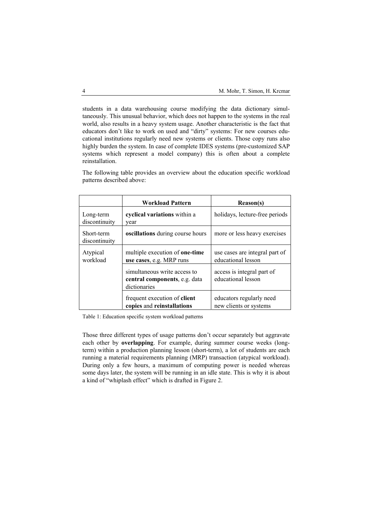students in a data warehousing course modifying the data dictionary simultaneously. This unusual behavior, which does not happen to the systems in the real world, also results in a heavy system usage. Another characteristic is the fact that educators don't like to work on used and "dirty" systems: For new courses educational institutions regularly need new systems or clients. Those copy runs also highly burden the system. In case of complete IDES systems (pre-customized SAP systems which represent a model company) this is often about a complete reinstallation.

The following table provides an overview about the education specific workload patterns described above:

|                             | <b>Workload Pattern</b>                                                       | <b>Reason(s)</b>                                     |
|-----------------------------|-------------------------------------------------------------------------------|------------------------------------------------------|
| Long-term<br>discontinuity  | cyclical variations within a<br>year                                          | holidays, lecture-free periods                       |
| Short-term<br>discontinuity | <b>oscillations</b> during course hours                                       | more or less heavy exercises                         |
| Atypical<br>workload        | multiple execution of <b>one-time</b><br>use cases, e.g. MRP runs             | use cases are integral part of<br>educational lesson |
|                             | simultaneous write access to<br>central components, e.g. data<br>dictionaries | access is integral part of<br>educational lesson     |
|                             | frequent execution of client<br>copies and reinstallations                    | educators regularly need<br>new clients or systems   |

Table 1: Education specific system workload patterns

Those three different types of usage patterns don't occur separately but aggravate each other by **overlapping**. For example, during summer course weeks (longterm) within a production planning lesson (short-term), a lot of students are each running a material requirements planning (MRP) transaction (atypical workload). During only a few hours, a maximum of computing power is needed whereas some days later, the system will be running in an idle state. This is why it is about a kind of "whiplash effect" which is drafted in Figure 2.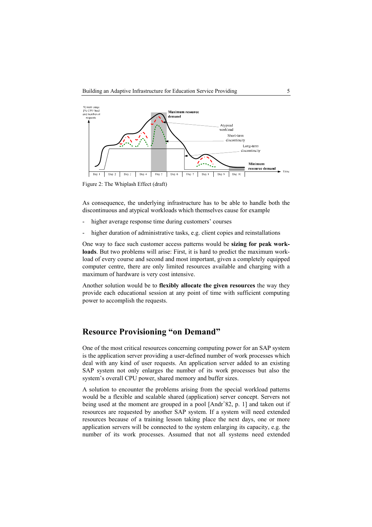

Figure 2: The Whiplash Effect (draft)

As consequence, the underlying infrastructure has to be able to handle both the discontinuous and atypical workloads which themselves cause for example

- higher average response time during customers' courses
- higher duration of administrative tasks, e.g. client copies and reinstallations

One way to face such customer access patterns would be **sizing for peak workloads**. But two problems will arise: First, it is hard to predict the maximum workload of every course and second and most important, given a completely equipped computer centre, there are only limited resources available and charging with a maximum of hardware is very cost intensive.

Another solution would be to **flexibly allocate the given resources** the way they provide each educational session at any point of time with sufficient computing power to accomplish the requests.

### **Resource Provisioning "on Demand"**

One of the most critical resources concerning computing power for an SAP system is the application server providing a user-defined number of work processes which deal with any kind of user requests. An application server added to an existing SAP system not only enlarges the number of its work processes but also the system's overall CPU power, shared memory and buffer sizes.

A solution to encounter the problems arising from the special workload patterns would be a flexible and scalable shared (application) server concept. Servers not being used at the moment are grouped in a pool [Andr<sup>+</sup>82, p. 1] and taken out if resources are requested by another SAP system. If a system will need extended resources because of a training lesson taking place the next days, one or more application servers will be connected to the system enlarging its capacity, e.g. the number of its work processes. Assumed that not all systems need extended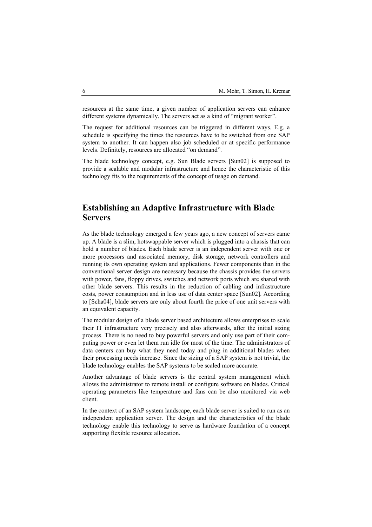resources at the same time, a given number of application servers can enhance different systems dynamically. The servers act as a kind of "migrant worker".

The request for additional resources can be triggered in different ways. E.g. a schedule is specifying the times the resources have to be switched from one SAP system to another. It can happen also job scheduled or at specific performance levels. Definitely, resources are allocated "on demand".

The blade technology concept, e.g. Sun Blade servers [Sun02] is supposed to provide a scalable and modular infrastructure and hence the characteristic of this technology fits to the requirements of the concept of usage on demand.

# **Establishing an Adaptive Infrastructure with Blade Servers**

As the blade technology emerged a few years ago, a new concept of servers came up. A blade is a slim, hotswappable server which is plugged into a chassis that can hold a number of blades. Each blade server is an independent server with one or more processors and associated memory, disk storage, network controllers and running its own operating system and applications. Fewer components than in the conventional server design are necessary because the chassis provides the servers with power, fans, floppy drives, switches and network ports which are shared with other blade servers. This results in the reduction of cabling and infrastructure costs, power consumption and in less use of data center space [Sun02]. According to [Scha04], blade servers are only about fourth the price of one unit servers with an equivalent capacity.

The modular design of a blade server based architecture allows enterprises to scale their IT infrastructure very precisely and also afterwards, after the initial sizing process. There is no need to buy powerful servers and only use part of their computing power or even let them run idle for most of the time. The administrators of data centers can buy what they need today and plug in additional blades when their processing needs increase. Since the sizing of a SAP system is not trivial, the blade technology enables the SAP systems to be scaled more accurate.

Another advantage of blade servers is the central system management which allows the administrator to remote install or configure software on blades. Critical operating parameters like temperature and fans can be also monitored via web client.

In the context of an SAP system landscape, each blade server is suited to run as an independent application server. The design and the characteristics of the blade technology enable this technology to serve as hardware foundation of a concept supporting flexible resource allocation.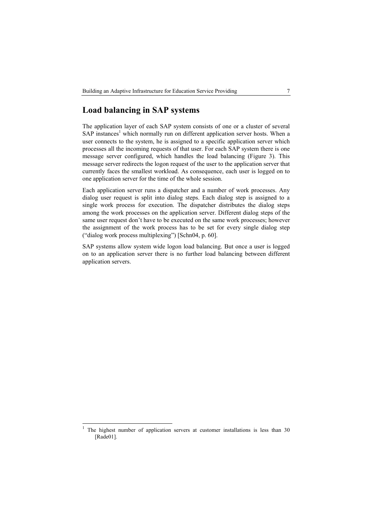## **Load balancing in SAP systems**

The application layer of each SAP system consists of one or a cluster of several SAP instances<sup>1</sup> which normally run on different application server hosts. When a user connects to the system, he is assigned to a specific application server which processes all the incoming requests of that user. For each SAP system there is one message server configured, which handles the load balancing (Figure 3). This message server redirects the logon request of the user to the application server that currently faces the smallest workload. As consequence, each user is logged on to one application server for the time of the whole session.

Each application server runs a dispatcher and a number of work processes. Any dialog user request is split into dialog steps. Each dialog step is assigned to a single work process for execution. The dispatcher distributes the dialog steps among the work processes on the application server. Different dialog steps of the same user request don't have to be executed on the same work processes; however the assignment of the work process has to be set for every single dialog step ("dialog work process multiplexing") [Schn04, p. 60].

SAP systems allow system wide logon load balancing. But once a user is logged on to an application server there is no further load balancing between different application servers.

l

<sup>1</sup> The highest number of application servers at customer installations is less than 30 [Rade01].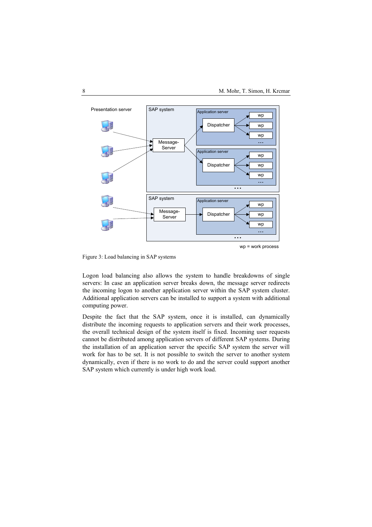

Figure 3: Load balancing in SAP systems

Logon load balancing also allows the system to handle breakdowns of single servers: In case an application server breaks down, the message server redirects the incoming logon to another application server within the SAP system cluster. Additional application servers can be installed to support a system with additional computing power.

Despite the fact that the SAP system, once it is installed, can dynamically distribute the incoming requests to application servers and their work processes, the overall technical design of the system itself is fixed. Incoming user requests cannot be distributed among application servers of different SAP systems. During the installation of an application server the specific SAP system the server will work for has to be set. It is not possible to switch the server to another system dynamically, even if there is no work to do and the server could support another SAP system which currently is under high work load.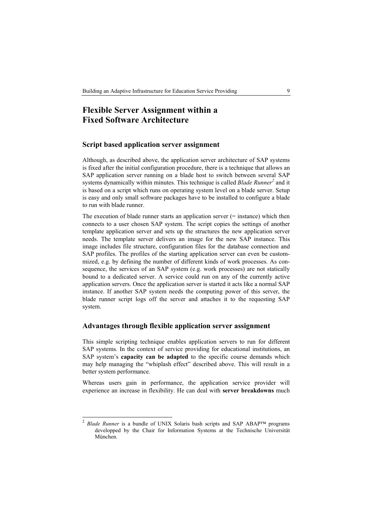# **Flexible Server Assignment within a Fixed Software Architecture**

### **Script based application server assignment**

Although, as described above, the application server architecture of SAP systems is fixed after the initial configuration procedure, there is a technique that allows an SAP application server running on a blade host to switch between several SAP systems dynamically within minutes. This technique is called *Blade Runner<sup>2</sup>* and it is based on a script which runs on operating system level on a blade server. Setup is easy and only small software packages have to be installed to configure a blade to run with blade runner.

The execution of blade runner starts an application server (= instance) which then connects to a user chosen SAP system. The script copies the settings of another template application server and sets up the structures the new application server needs. The template server delivers an image for the new SAP instance. This image includes file structure, configuration files for the database connection and SAP profiles. The profiles of the starting application server can even be custommized, e.g. by defining the number of different kinds of work processes. As consequence, the services of an SAP system (e.g. work processes) are not statically bound to a dedicated server. A service could run on any of the currently active application servers. Once the application server is started it acts like a normal SAP instance. If another SAP system needs the computing power of this server, the blade runner script logs off the server and attaches it to the requesting SAP system.

### **Advantages through flexible application server assignment**

This simple scripting technique enables application servers to run for different SAP systems. In the context of service providing for educational institutions, an SAP system's **capacity can be adapted** to the specific course demands which may help managing the "whiplash effect" described above. This will result in a better system performance.

Whereas users gain in performance, the application service provider will experience an increase in flexibility. He can deal with **server breakdowns** much

l

<sup>2</sup> *Blade Runner* is a bundle of UNIX Solaris bash scripts and SAP ABAP™ programs developped by the Chair for Information Systems at the Technische Universität München.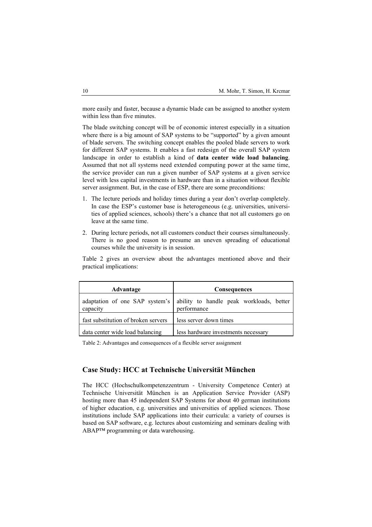more easily and faster, because a dynamic blade can be assigned to another system within less than five minutes.

The blade switching concept will be of economic interest especially in a situation where there is a big amount of SAP systems to be "supported" by a given amount of blade servers. The switching concept enables the pooled blade servers to work for different SAP systems. It enables a fast redesign of the overall SAP system landscape in order to establish a kind of **data center wide load balancing**. Assumed that not all systems need extended computing power at the same time, the service provider can run a given number of SAP systems at a given service level with less capital investments in hardware than in a situation without flexible server assignment. But, in the case of ESP, there are some preconditions:

- 1. The lecture periods and holiday times during a year don't overlap completely. In case the ESP's customer base is heterogeneous (e.g. universities, universities of applied sciences, schools) there's a chance that not all customers go on leave at the same time.
- 2. During lecture periods, not all customers conduct their courses simultaneously. There is no good reason to presume an uneven spreading of educational courses while the university is in session.

Table 2 gives an overview about the advantages mentioned above and their practical implications:

| Advantage                           | <b>Consequences</b>                                                                    |  |
|-------------------------------------|----------------------------------------------------------------------------------------|--|
| capacity                            | adaptation of one SAP system's ability to handle peak workloads, better<br>performance |  |
| fast substitution of broken servers | less server down times                                                                 |  |
| data center wide load balancing     | less hardware investments necessary                                                    |  |

Table 2: Advantages and consequences of a flexible server assignment

### **Case Study: HCC at Technische Universität München**

The HCC (Hochschulkompetenzzentrum - University Competence Center) at Technische Universität München is an Application Service Provider (ASP) hosting more than 45 independent SAP Systems for about 40 german institutions of higher education, e.g. universities and universities of applied sciences. Those institutions include SAP applications into their curricula: a variety of courses is based on SAP software, e.g. lectures about customizing and seminars dealing with ABAP™ programming or data warehousing.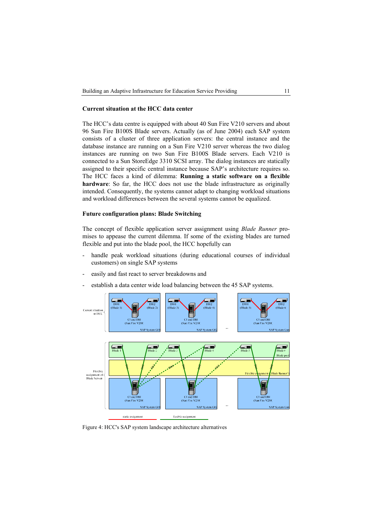#### **Current situation at the HCC data center**

The HCC's data centre is equipped with about 40 Sun Fire V210 servers and about 96 Sun Fire B100S Blade servers. Actually (as of June 2004) each SAP system consists of a cluster of three application servers: the central instance and the database instance are running on a Sun Fire V210 server whereas the two dialog instances are running on two Sun Fire B100S Blade servers. Each V210 is connected to a Sun StoreEdge 3310 SCSI array. The dialog instances are statically assigned to their specific central instance because SAP's architecture requires so. The HCC faces a kind of dilemma: **Running a static software on a flexible hardware**: So far, the HCC does not use the blade infrastructure as originally intended. Consequently, the systems cannot adapt to changing workload situations and workload differences between the several systems cannot be equalized.

#### **Future configuration plans: Blade Switching**

The concept of flexible application server assignment using *Blade Runner* promises to appease the current dilemma. If some of the existing blades are turned flexible and put into the blade pool, the HCC hopefully can

- handle peak workload situations (during educational courses of individual customers) on single SAP systems
- easily and fast react to server breakdowns and
- establish a data center wide load balancing between the 45 SAP systems.



Figure 4: HCC's SAP system landscape architecture alternatives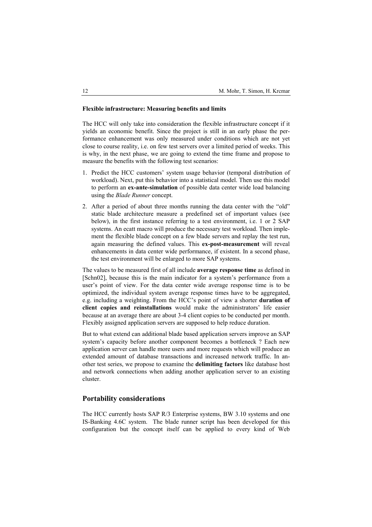#### **Flexible infrastructure: Measuring benefits and limits**

The HCC will only take into consideration the flexible infrastructure concept if it yields an economic benefit. Since the project is still in an early phase the performance enhancement was only measured under conditions which are not yet close to course reality, i.e. on few test servers over a limited period of weeks. This is why, in the next phase, we are going to extend the time frame and propose to measure the benefits with the following test scenarios:

- 1. Predict the HCC customers' system usage behavior (temporal distribution of workload). Next, put this behavior into a statistical model. Then use this model to perform an **ex-ante-simulation** of possible data center wide load balancing using the *Blade Runner* concept.
- 2. After a period of about three months running the data center with the "old" static blade architecture measure a predefined set of important values (see below), in the first instance referring to a test environment, i.e. 1 or 2 SAP systems. An ecatt macro will produce the necessary test workload. Then implement the flexible blade concept on a few blade servers and replay the test run, again measuring the defined values. This **ex-post-measurement** will reveal enhancements in data center wide performance, if existent. In a second phase, the test environment will be enlarged to more SAP systems.

The values to be measured first of all include **average response time** as defined in [Schn02], because this is the main indicator for a system's performance from a user's point of view. For the data center wide average response time is to be optimized, the individual system average response times have to be aggregated, e.g. including a weighting. From the HCC's point of view a shorter **duration of client copies and reinstallations** would make the administrators' life easier because at an average there are about 3-4 client copies to be conducted per month. Flexibly assigned application servers are supposed to help reduce duration.

But to what extend can additional blade based application servers improve an SAP system's capacity before another component becomes a bottleneck ? Each new application server can handle more users and more requests which will produce an extended amount of database transactions and increased network traffic. In another test series, we propose to examine the **delimiting factors** like database host and network connections when adding another application server to an existing cluster.

#### **Portability considerations**

The HCC currently hosts SAP R/3 Enterprise systems, BW 3.10 systems and one IS-Banking 4.6C system. The blade runner script has been developed for this configuration but the concept itself can be applied to every kind of Web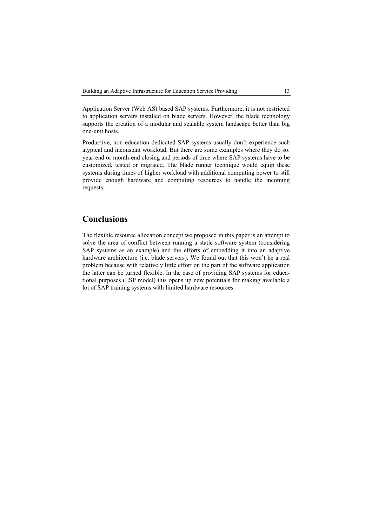Application Server (Web AS) based SAP systems. Furthermore, it is not restricted to application servers installed on blade servers. However, the blade technology supports the creation of a modular and scalable system landscape better than big one-unit hosts.

Productive, non education dedicated SAP systems usually don't experience such atypical and inconstant workload. But there are some examples where they do so: year-end or month-end closing and periods of time where SAP systems have to be customized, tested or migrated. The blade runner technique would equip these systems during times of higher workload with additional computing power to still provide enough hardware and computing resources to handle the incoming requests.

# **Conclusions**

The flexible resource allocation concept we proposed in this paper is an attempt to solve the area of conflict between running a static software system (considering SAP systems as an example) and the efforts of embedding it into an adaptive hardware architecture (i.e. blade servers). We found out that this won't be a real problem because with relatively little effort on the part of the software application the latter can be turned flexible. In the case of providing SAP systems for educational purposes (ESP model) this opens up new potentials for making available a lot of SAP training systems with limited hardware resources.